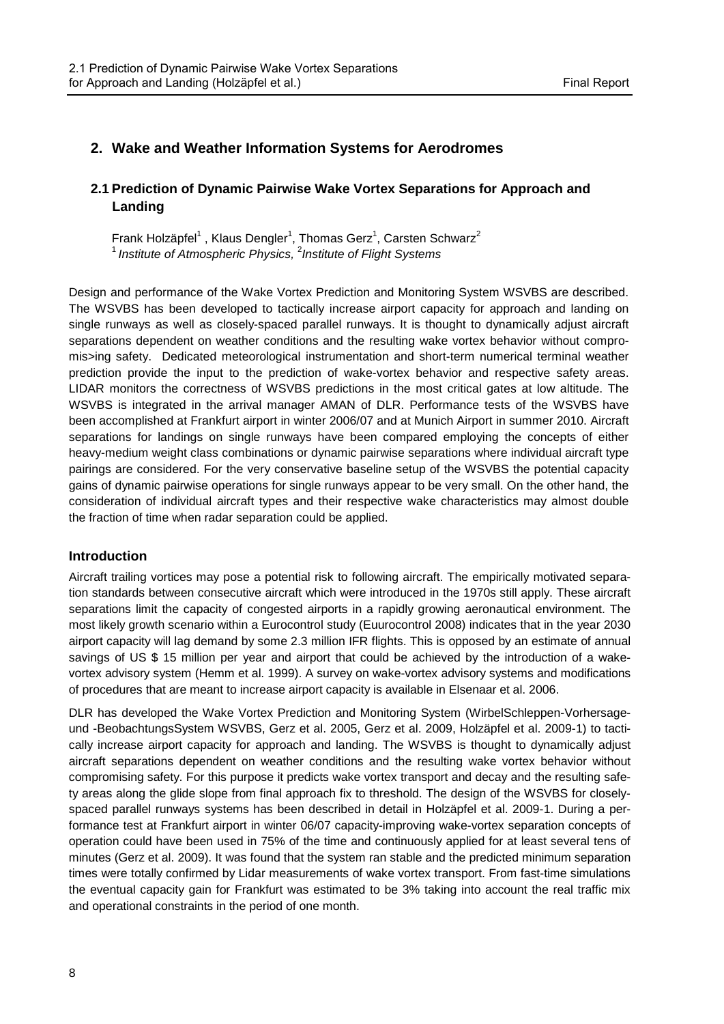# **2. Wake and Weather Information Systems for Aerodromes**

# **2.1 Prediction of Dynamic Pairwise Wake Vortex Separations for Approach and Landing**

Frank Holzäpfel<sup>1</sup>, Klaus Dengler<sup>1</sup>, Thomas Gerz<sup>1</sup>, Carsten Schwarz<sup>2</sup> <sup>1</sup>*Institute of Atmospheric Physics,* <sup>2</sup> *Institute of Flight Systems*

Design and performance of the Wake Vortex Prediction and Monitoring System WSVBS are described. The WSVBS has been developed to tactically increase airport capacity for approach and landing on single runways as well as closely-spaced parallel runways. It is thought to dynamically adjust aircraft separations dependent on weather conditions and the resulting wake vortex behavior without compromis>ing safety. Dedicated meteorological instrumentation and short-term numerical terminal weather prediction provide the input to the prediction of wake-vortex behavior and respective safety areas. LIDAR monitors the correctness of WSVBS predictions in the most critical gates at low altitude. The WSVBS is integrated in the arrival manager AMAN of DLR. Performance tests of the WSVBS have been accomplished at Frankfurt airport in winter 2006/07 and at Munich Airport in summer 2010. Aircraft separations for landings on single runways have been compared employing the concepts of either heavy-medium weight class combinations or dynamic pairwise separations where individual aircraft type pairings are considered. For the very conservative baseline setup of the WSVBS the potential capacity gains of dynamic pairwise operations for single runways appear to be very small. On the other hand, the consideration of individual aircraft types and their respective wake characteristics may almost double the fraction of time when radar separation could be applied.

# **Introduction**

Aircraft trailing vortices may pose a potential risk to following aircraft. The empirically motivated separation standards between consecutive aircraft which were introduced in the 1970s still apply. These aircraft separations limit the capacity of congested airports in a rapidly growing aeronautical environment. The most likely growth scenario within a Eurocontrol study (Euurocontrol 2008) indicates that in the year 2030 airport capacity will lag demand by some 2.3 million IFR flights. This is opposed by an estimate of annual savings of US \$ 15 million per year and airport that could be achieved by the introduction of a wakevortex advisory system (Hemm et al. 1999). A survey on wake-vortex advisory systems and modifications of procedures that are meant to increase airport capacity is available in Elsenaar et al. 2006.

DLR has developed the Wake Vortex Prediction and Monitoring System (WirbelSchleppen-Vorhersageund -BeobachtungsSystem WSVBS, Gerz et al. 2005, Gerz et al. 2009, Holzäpfel et al. 2009-1) to tactically increase airport capacity for approach and landing. The WSVBS is thought to dynamically adjust aircraft separations dependent on weather conditions and the resulting wake vortex behavior without compromising safety. For this purpose it predicts wake vortex transport and decay and the resulting safety areas along the glide slope from final approach fix to threshold. The design of the WSVBS for closelyspaced parallel runways systems has been described in detail in Holzäpfel et al. 2009-1. During a performance test at Frankfurt airport in winter 06/07 capacity-improving wake-vortex separation concepts of operation could have been used in 75% of the time and continuously applied for at least several tens of minutes (Gerz et al. 2009). It was found that the system ran stable and the predicted minimum separation times were totally confirmed by Lidar measurements of wake vortex transport. From fast-time simulations the eventual capacity gain for Frankfurt was estimated to be 3% taking into account the real traffic mix and operational constraints in the period of one month.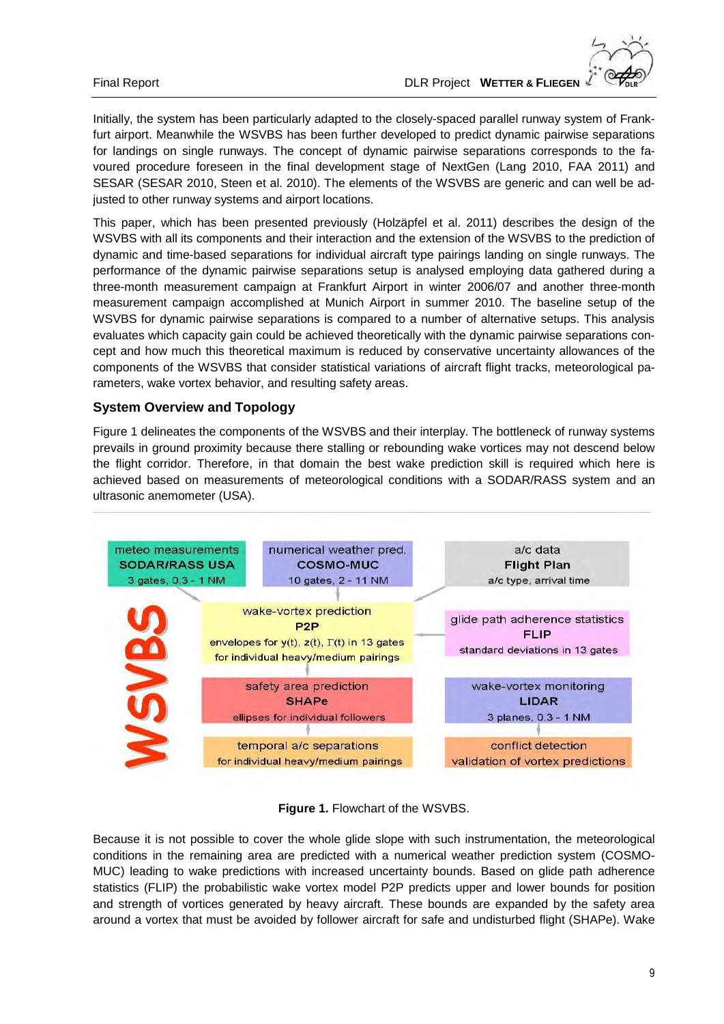

Initially, the system has been particularly adapted to the closely-spaced parallel runway system of Frankfurt airport. Meanwhile the WSVBS has been further developed to predict dynamic pairwise separations for landings on single runways. The concept of dynamic pairwise separations corresponds to the favoured procedure foreseen in the final development stage of NextGen (Lang 2010, FAA 2011) and SESAR (SESAR 2010, Steen et al. 2010). The elements of the WSVBS are generic and can well be adjusted to other runway systems and airport locations.

This paper, which has been presented previously (Holzäpfel et al. 2011) describes the design of the WSVBS with all its components and their interaction and the extension of the WSVBS to the prediction of dynamic and time-based separations for individual aircraft type pairings landing on single runways. The performance of the dynamic pairwise separations setup is analysed employing data gathered during a three-month measurement campaign at Frankfurt Airport in winter 2006/07 and another three-month measurement campaign accomplished at Munich Airport in summer 2010. The baseline setup of the WSVBS for dynamic pairwise separations is compared to a number of alternative setups. This analysis evaluates which capacity gain could be achieved theoretically with the dynamic pairwise separations concept and how much this theoretical maximum is reduced by conservative uncertainty allowances of the components of the WSVBS that consider statistical variations of aircraft flight tracks, meteorological parameters, wake vortex behavior, and resulting safety areas.

## **System Overview and Topology**

Figure 1 delineates the components of the WSVBS and their interplay. The bottleneck of runway systems prevails in ground proximity because there stalling or rebounding wake vortices may not descend below the flight corridor. Therefore, in that domain the best wake prediction skill is required which here is achieved based on measurements of meteorological conditions with a SODAR/RASS system and an ultrasonic anemometer (USA).



## **Figure 1.** Flowchart of the WSVBS.

Because it is not possible to cover the whole glide slope with such instrumentation, the meteorological conditions in the remaining area are predicted with a numerical weather prediction system (COSMO-MUC) leading to wake predictions with increased uncertainty bounds. Based on glide path adherence statistics (FLIP) the probabilistic wake vortex model P2P predicts upper and lower bounds for position and strength of vortices generated by heavy aircraft. These bounds are expanded by the safety area around a vortex that must be avoided by follower aircraft for safe and undisturbed flight (SHAPe). Wake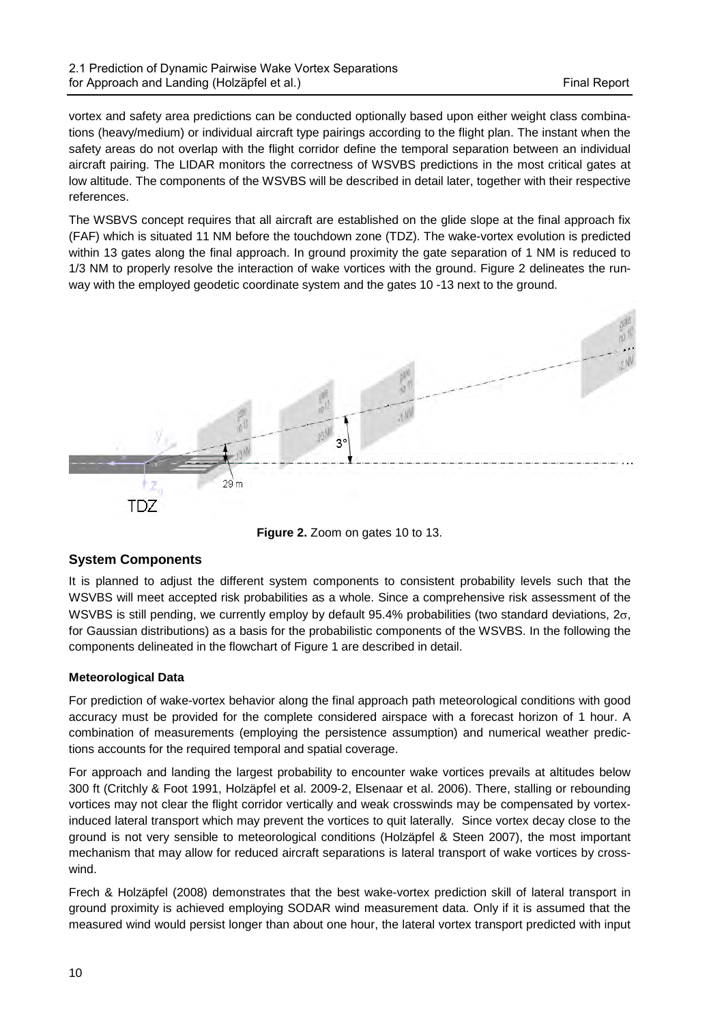vortex and safety area predictions can be conducted optionally based upon either weight class combinations (heavy/medium) or individual aircraft type pairings according to the flight plan. The instant when the safety areas do not overlap with the flight corridor define the temporal separation between an individual aircraft pairing. The LIDAR monitors the correctness of WSVBS predictions in the most critical gates at low altitude. The components of the WSVBS will be described in detail later, together with their respective references.

The WSBVS concept requires that all aircraft are established on the glide slope at the final approach fix (FAF) which is situated 11 NM before the touchdown zone (TDZ). The wake-vortex evolution is predicted within 13 gates along the final approach. In ground proximity the gate separation of 1 NM is reduced to 1/3 NM to properly resolve the interaction of wake vortices with the ground. Figure 2 delineates the runway with the employed geodetic coordinate system and the gates 10 -13 next to the ground.





# **System Components**

It is planned to adjust the different system components to consistent probability levels such that the WSVBS will meet accepted risk probabilities as a whole. Since a comprehensive risk assessment of the WSVBS is still pending, we currently employ by default 95.4% probabilities (two standard deviations, 2σ, for Gaussian distributions) as a basis for the probabilistic components of the WSVBS. In the following the components delineated in the flowchart of Figure 1 are described in detail.

# **Meteorological Data**

For prediction of wake-vortex behavior along the final approach path meteorological conditions with good accuracy must be provided for the complete considered airspace with a forecast horizon of 1 hour. A combination of measurements (employing the persistence assumption) and numerical weather predictions accounts for the required temporal and spatial coverage.

For approach and landing the largest probability to encounter wake vortices prevails at altitudes below 300 ft (Critchly & Foot 1991, Holzäpfel et al. 2009-2, Elsenaar et al. 2006). There, stalling or rebounding vortices may not clear the flight corridor vertically and weak crosswinds may be compensated by vortexinduced lateral transport which may prevent the vortices to quit laterally. Since vortex decay close to the ground is not very sensible to meteorological conditions (Holzäpfel & Steen 2007), the most important mechanism that may allow for reduced aircraft separations is lateral transport of wake vortices by crosswind.

Frech & Holzäpfel (2008) demonstrates that the best wake-vortex prediction skill of lateral transport in ground proximity is achieved employing SODAR wind measurement data. Only if it is assumed that the measured wind would persist longer than about one hour, the lateral vortex transport predicted with input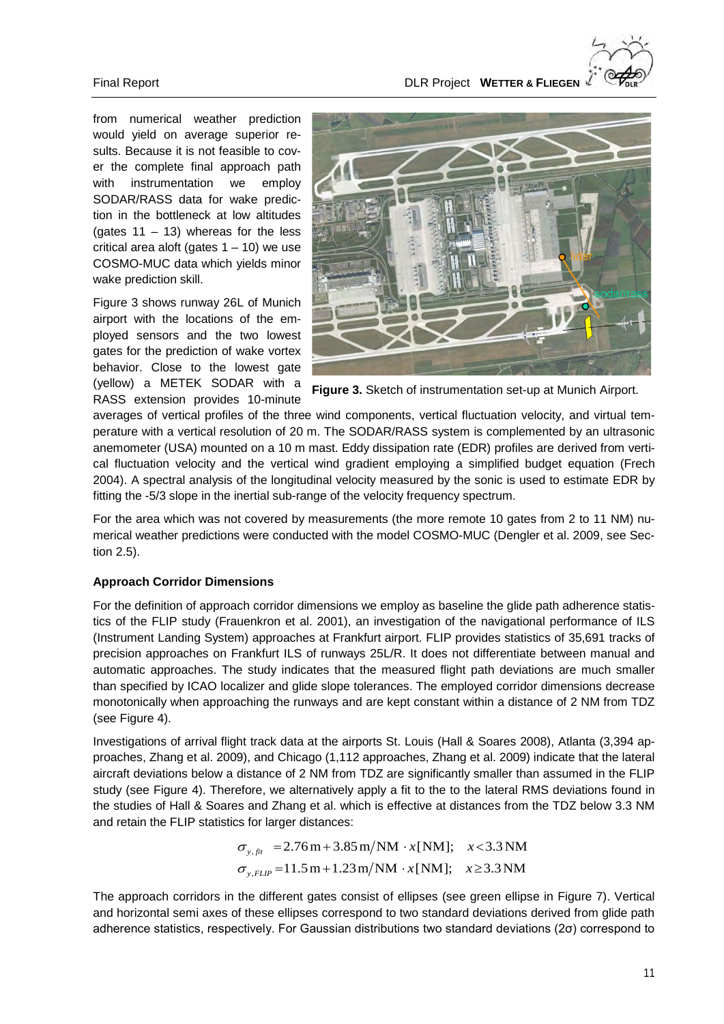Final Report DLR Project **WETTER & FLIEGEN**

from numerical weather prediction would yield on average superior results. Because it is not feasible to cover the complete final approach path with instrumentation we employ SODAR/RASS data for wake prediction in the bottleneck at low altitudes (gates  $11 - 13$ ) whereas for the less critical area aloft (gates  $1 - 10$ ) we use COSMO-MUC data which yields minor wake prediction skill.

Figure 3 shows runway 26L of Munich airport with the locations of the employed sensors and the two lowest gates for the prediction of wake vortex behavior. Close to the lowest gate (yellow) a METEK SODAR with a RASS extension provides 10-minute



**Figure 3.** Sketch of instrumentation set-up at Munich Airport.

averages of vertical profiles of the three wind components, vertical fluctuation velocity, and virtual temperature with a vertical resolution of 20 m. The SODAR/RASS system is complemented by an ultrasonic anemometer (USA) mounted on a 10 m mast. Eddy dissipation rate (EDR) profiles are derived from vertical fluctuation velocity and the vertical wind gradient employing a simplified budget equation (Frech 2004). A spectral analysis of the longitudinal velocity measured by the sonic is used to estimate EDR by fitting the -5/3 slope in the inertial sub-range of the velocity frequency spectrum.

For the area which was not covered by measurements (the more remote 10 gates from 2 to 11 NM) numerical weather predictions were conducted with the model COSMO-MUC (Dengler et al. 2009, see Section 2.5).

### **Approach Corridor Dimensions**

For the definition of approach corridor dimensions we employ as baseline the glide path adherence statistics of the FLIP study (Frauenkron et al. 2001), an investigation of the navigational performance of ILS (Instrument Landing System) approaches at Frankfurt airport. FLIP provides statistics of 35,691 tracks of precision approaches on Frankfurt ILS of runways 25L/R. It does not differentiate between manual and automatic approaches. The study indicates that the measured flight path deviations are much smaller than specified by ICAO localizer and glide slope tolerances. The employed corridor dimensions decrease monotonically when approaching the runways and are kept constant within a distance of 2 NM from TDZ (see Figure 4).

Investigations of arrival flight track data at the airports St. Louis (Hall & Soares 2008), Atlanta (3,394 approaches, Zhang et al. 2009), and Chicago (1,112 approaches, Zhang et al. 2009) indicate that the lateral aircraft deviations below a distance of 2 NM from TDZ are significantly smaller than assumed in the FLIP study (see Figure 4). Therefore, we alternatively apply a fit to the to the lateral RMS deviations found in the studies of Hall & Soares and Zhang et al. which is effective at distances from the TDZ below 3.3 NM and retain the FLIP statistics for larger distances:

> $\sigma_{y,FLIP} = 11.5 \text{ m} + 1.23 \text{ m/NM} \cdot x \text{[NM]}; \quad x \ge 3.3 \text{ NM}$  $\sigma_{y, fit}$  = 2.76 m + 3.85 m/NM · x[NM]; x < 3.3 NM

The approach corridors in the different gates consist of ellipses (see green ellipse in Figure 7). Vertical and horizontal semi axes of these ellipses correspond to two standard deviations derived from glide path adherence statistics, respectively. For Gaussian distributions two standard deviations (2σ) correspond to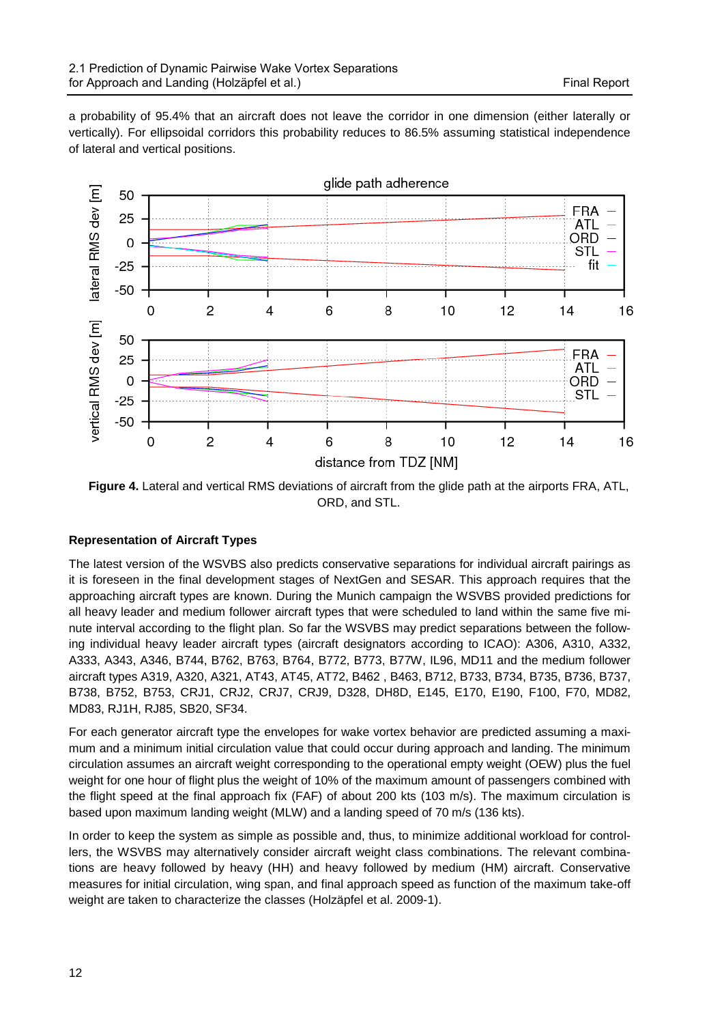a probability of 95.4% that an aircraft does not leave the corridor in one dimension (either laterally or vertically). For ellipsoidal corridors this probability reduces to 86.5% assuming statistical independence of lateral and vertical positions.



**Figure 4.** Lateral and vertical RMS deviations of aircraft from the glide path at the airports FRA, ATL, ORD, and STL.

## **Representation of Aircraft Types**

The latest version of the WSVBS also predicts conservative separations for individual aircraft pairings as it is foreseen in the final development stages of NextGen and SESAR. This approach requires that the approaching aircraft types are known. During the Munich campaign the WSVBS provided predictions for all heavy leader and medium follower aircraft types that were scheduled to land within the same five minute interval according to the flight plan. So far the WSVBS may predict separations between the following individual heavy leader aircraft types (aircraft designators according to ICAO): A306, A310, A332, A333, A343, A346, B744, B762, B763, B764, B772, B773, B77W, IL96, MD11 and the medium follower aircraft types A319, A320, A321, AT43, AT45, AT72, B462 , B463, B712, B733, B734, B735, B736, B737, B738, B752, B753, CRJ1, CRJ2, CRJ7, CRJ9, D328, DH8D, E145, E170, E190, F100, F70, MD82, MD83, RJ1H, RJ85, SB20, SF34.

For each generator aircraft type the envelopes for wake vortex behavior are predicted assuming a maximum and a minimum initial circulation value that could occur during approach and landing. The minimum circulation assumes an aircraft weight corresponding to the operational empty weight (OEW) plus the fuel weight for one hour of flight plus the weight of 10% of the maximum amount of passengers combined with the flight speed at the final approach fix (FAF) of about 200 kts (103 m/s). The maximum circulation is based upon maximum landing weight (MLW) and a landing speed of 70 m/s (136 kts).

In order to keep the system as simple as possible and, thus, to minimize additional workload for controllers, the WSVBS may alternatively consider aircraft weight class combinations. The relevant combinations are heavy followed by heavy (HH) and heavy followed by medium (HM) aircraft. Conservative measures for initial circulation, wing span, and final approach speed as function of the maximum take-off weight are taken to characterize the classes (Holzäpfel et al. 2009-1).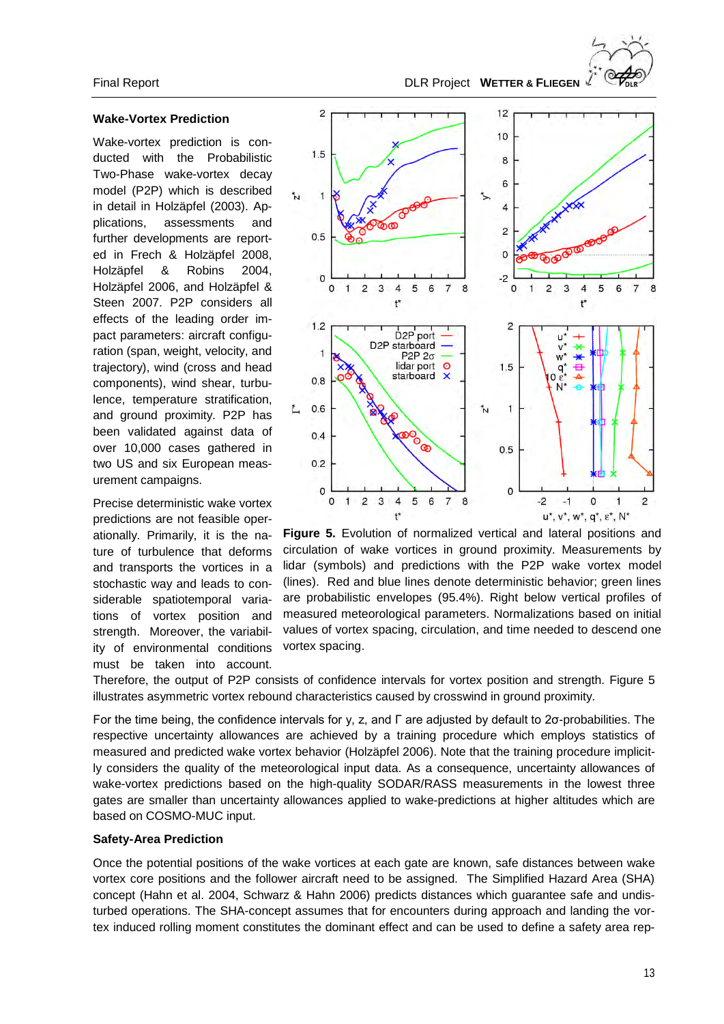### **Wake-Vortex Prediction**

Wake-vortex prediction is conducted with the Probabilistic Two-Phase wake-vortex decay model (P2P) which is described in detail in Holzäpfel (2003). Applications, assessments and further developments are reported in Frech & Holzäpfel 2008, Holzäpfel & Robins 2004, Holzäpfel 2006, and Holzäpfel & Steen 2007. P2P considers all effects of the leading order impact parameters: aircraft configuration (span, weight, velocity, and trajectory), wind (cross and head components), wind shear, turbulence, temperature stratification, and ground proximity. P2P has been validated against data of over 10,000 cases gathered in two US and six European measurement campaigns.

Precise deterministic wake vortex predictions are not feasible operationally. Primarily, it is the nature of turbulence that deforms and transports the vortices in a stochastic way and leads to considerable spatiotemporal variations of vortex position and strength. Moreover, the variability of environmental conditions must be taken into account.





Therefore, the output of P2P consists of confidence intervals for vortex position and strength. Figure 5 illustrates asymmetric vortex rebound characteristics caused by crosswind in ground proximity.

For the time being, the confidence intervals for y, z, and Γ are adjusted by default to 2σ-probabilities. The respective uncertainty allowances are achieved by a training procedure which employs statistics of measured and predicted wake vortex behavior (Holzäpfel 2006). Note that the training procedure implicitly considers the quality of the meteorological input data. As a consequence, uncertainty allowances of wake-vortex predictions based on the high-quality SODAR/RASS measurements in the lowest three gates are smaller than uncertainty allowances applied to wake-predictions at higher altitudes which are based on COSMO-MUC input.

### **Safety-Area Prediction**

Once the potential positions of the wake vortices at each gate are known, safe distances between wake vortex core positions and the follower aircraft need to be assigned. The Simplified Hazard Area (SHA) concept (Hahn et al. 2004, Schwarz & Hahn 2006) predicts distances which guarantee safe and undisturbed operations. The SHA-concept assumes that for encounters during approach and landing the vortex induced rolling moment constitutes the dominant effect and can be used to define a safety area rep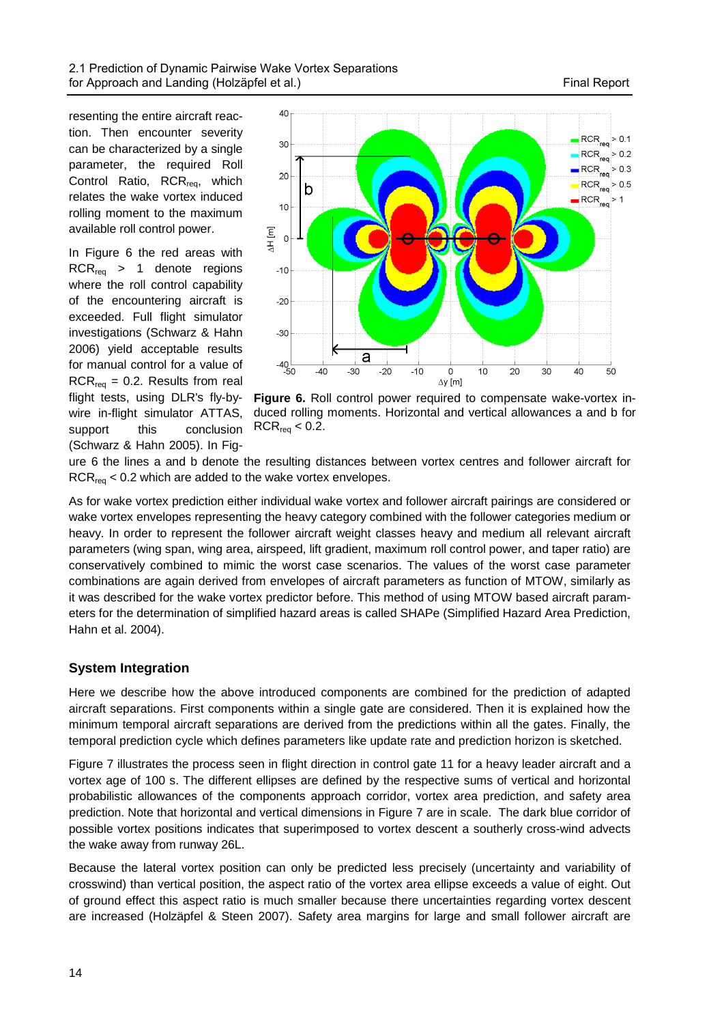resenting the entire aircraft reaction. Then encounter severity can be characterized by a single parameter, the required Roll Control Ratio, RCR<sub>req</sub>, which relates the wake vortex induced rolling moment to the maximum available roll control power.

In Figure 6 the red areas with  $RCR_{\text{rea}} > 1$  denote regions where the roll control capability of the encountering aircraft is exceeded. Full flight simulator investigations (Schwarz & Hahn 2006) yield acceptable results for manual control for a value of  $RCR_{\text{rea}} = 0.2$ . Results from real flight tests, using DLR's fly-bywire in-flight simulator ATTAS, support this conclusion (Schwarz & Hahn 2005). In Fig-



**Figure 6.** Roll control power required to compensate wake-vortex induced rolling moments. Horizontal and vertical allowances a and b for  $RCR_{\text{rea}} < 0.2$ .

ure 6 the lines a and b denote the resulting distances between vortex centres and follower aircraft for  $RCR_{\text{rea}} < 0.2$  which are added to the wake vortex envelopes.

As for wake vortex prediction either individual wake vortex and follower aircraft pairings are considered or wake vortex envelopes representing the heavy category combined with the follower categories medium or heavy. In order to represent the follower aircraft weight classes heavy and medium all relevant aircraft parameters (wing span, wing area, airspeed, lift gradient, maximum roll control power, and taper ratio) are conservatively combined to mimic the worst case scenarios. The values of the worst case parameter combinations are again derived from envelopes of aircraft parameters as function of MTOW, similarly as it was described for the wake vortex predictor before. This method of using MTOW based aircraft parameters for the determination of simplified hazard areas is called SHAPe (Simplified Hazard Area Prediction, Hahn et al. 2004).

## **System Integration**

Here we describe how the above introduced components are combined for the prediction of adapted aircraft separations. First components within a single gate are considered. Then it is explained how the minimum temporal aircraft separations are derived from the predictions within all the gates. Finally, the temporal prediction cycle which defines parameters like update rate and prediction horizon is sketched.

Figure 7 illustrates the process seen in flight direction in control gate 11 for a heavy leader aircraft and a vortex age of 100 s. The different ellipses are defined by the respective sums of vertical and horizontal probabilistic allowances of the components approach corridor, vortex area prediction, and safety area prediction. Note that horizontal and vertical dimensions in Figure 7 are in scale. The dark blue corridor of possible vortex positions indicates that superimposed to vortex descent a southerly cross-wind advects the wake away from runway 26L.

Because the lateral vortex position can only be predicted less precisely (uncertainty and variability of crosswind) than vertical position, the aspect ratio of the vortex area ellipse exceeds a value of eight. Out of ground effect this aspect ratio is much smaller because there uncertainties regarding vortex descent are increased (Holzäpfel & Steen 2007). Safety area margins for large and small follower aircraft are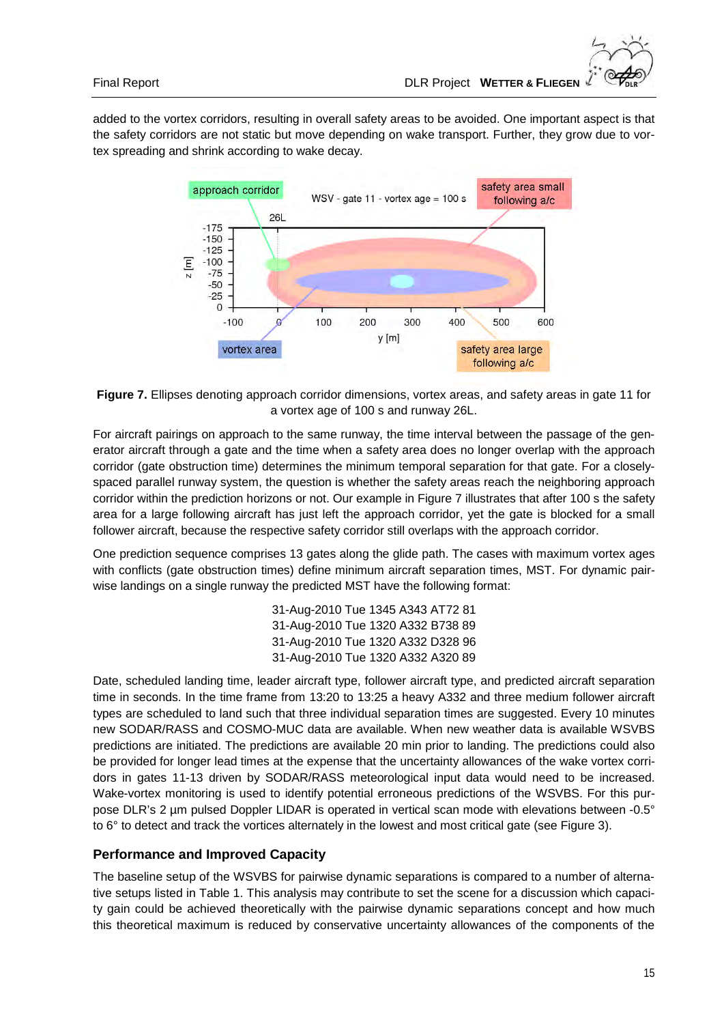added to the vortex corridors, resulting in overall safety areas to be avoided. One important aspect is that the safety corridors are not static but move depending on wake transport. Further, they grow due to vortex spreading and shrink according to wake decay.



**Figure 7.** Ellipses denoting approach corridor dimensions, vortex areas, and safety areas in gate 11 for a vortex age of 100 s and runway 26L.

For aircraft pairings on approach to the same runway, the time interval between the passage of the generator aircraft through a gate and the time when a safety area does no longer overlap with the approach corridor (gate obstruction time) determines the minimum temporal separation for that gate. For a closelyspaced parallel runway system, the question is whether the safety areas reach the neighboring approach corridor within the prediction horizons or not. Our example in Figure 7 illustrates that after 100 s the safety area for a large following aircraft has just left the approach corridor, yet the gate is blocked for a small follower aircraft, because the respective safety corridor still overlaps with the approach corridor.

One prediction sequence comprises 13 gates along the glide path. The cases with maximum vortex ages with conflicts (gate obstruction times) define minimum aircraft separation times, MST. For dynamic pairwise landings on a single runway the predicted MST have the following format:

> 31-Aug-2010 Tue 1345 A343 AT72 81 31-Aug-2010 Tue 1320 A332 B738 89 31-Aug-2010 Tue 1320 A332 D328 96 31-Aug-2010 Tue 1320 A332 A320 89

Date, scheduled landing time, leader aircraft type, follower aircraft type, and predicted aircraft separation time in seconds. In the time frame from 13:20 to 13:25 a heavy A332 and three medium follower aircraft types are scheduled to land such that three individual separation times are suggested. Every 10 minutes new SODAR/RASS and COSMO-MUC data are available. When new weather data is available WSVBS predictions are initiated. The predictions are available 20 min prior to landing. The predictions could also be provided for longer lead times at the expense that the uncertainty allowances of the wake vortex corridors in gates 11-13 driven by SODAR/RASS meteorological input data would need to be increased. Wake-vortex monitoring is used to identify potential erroneous predictions of the WSVBS. For this purpose DLR's 2 µm pulsed Doppler LIDAR is operated in vertical scan mode with elevations between -0.5° to 6° to detect and track the vortices alternately in the lowest and most critical gate (see Figure 3).

# **Performance and Improved Capacity**

The baseline setup of the WSVBS for pairwise dynamic separations is compared to a number of alternative setups listed in Table 1. This analysis may contribute to set the scene for a discussion which capacity gain could be achieved theoretically with the pairwise dynamic separations concept and how much this theoretical maximum is reduced by conservative uncertainty allowances of the components of the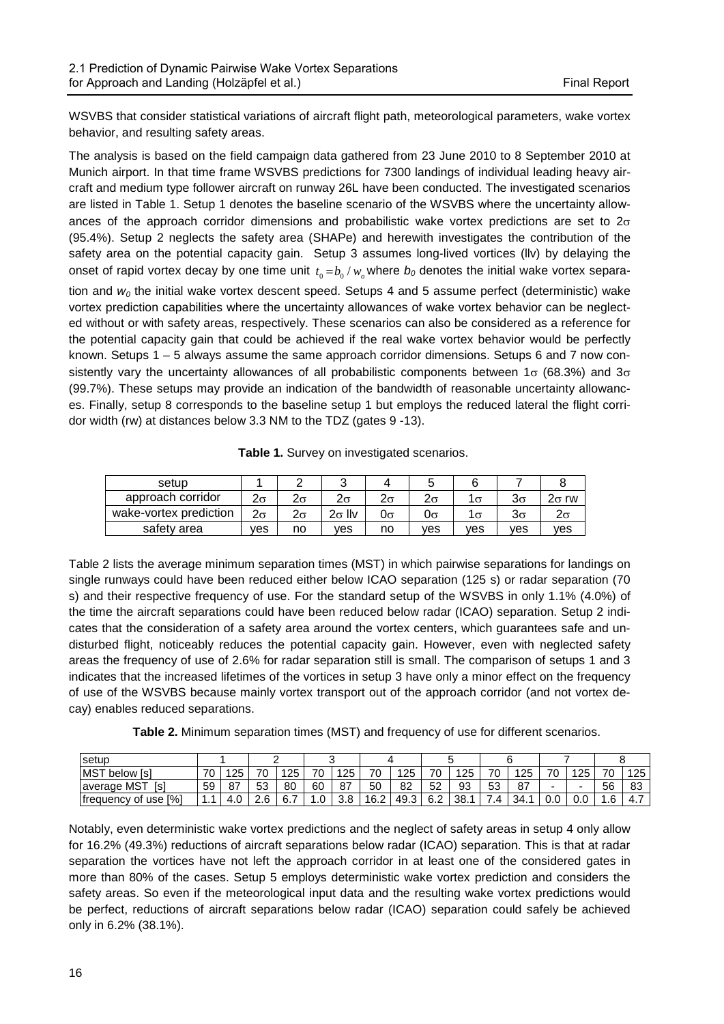WSVBS that consider statistical variations of aircraft flight path, meteorological parameters, wake vortex behavior, and resulting safety areas.

The analysis is based on the field campaign data gathered from 23 June 2010 to 8 September 2010 at Munich airport. In that time frame WSVBS predictions for 7300 landings of individual leading heavy aircraft and medium type follower aircraft on runway 26L have been conducted. The investigated scenarios are listed in Table 1. Setup 1 denotes the baseline scenario of the WSVBS where the uncertainty allowances of the approach corridor dimensions and probabilistic wake vortex predictions are set to  $2\sigma$ (95.4%). Setup 2 neglects the safety area (SHAPe) and herewith investigates the contribution of the safety area on the potential capacity gain. Setup 3 assumes long-lived vortices (llv) by delaying the onset of rapid vortex decay by one time unit  $t_0 = b_0 / w_p$  where  $b_0$  denotes the initial wake vortex separation and  $w_0$  the initial wake vortex descent speed. Setups 4 and 5 assume perfect (deterministic) wake vortex prediction capabilities where the uncertainty allowances of wake vortex behavior can be neglected without or with safety areas, respectively. These scenarios can also be considered as a reference for the potential capacity gain that could be achieved if the real wake vortex behavior would be perfectly known. Setups 1 – 5 always assume the same approach corridor dimensions. Setups 6 and 7 now consistently vary the uncertainty allowances of all probabilistic components between 1 $\sigma$  (68.3%) and 3 $\sigma$ (99.7%). These setups may provide an indication of the bandwidth of reasonable uncertainty allowances. Finally, setup 8 corresponds to the baseline setup 1 but employs the reduced lateral the flight corridor width (rw) at distances below 3.3 NM to the TDZ (gates 9 -13).

| setup                  |           |    |               |    |           |     |     |         |
|------------------------|-----------|----|---------------|----|-----------|-----|-----|---------|
| approach corridor      | $2\sigma$ | 2σ |               | 2σ | $2\sigma$ |     | 3σ  | $2σ$ rw |
| wake-vortex prediction | $2\sigma$ | 2σ | $2\sigma$ llv | 0σ | Oσ        |     | 3σ  | 40      |
| safety area            | ves       | no | ves           | no | ves       | ves | ves | ves     |

**Table 1.** Survey on investigated scenarios.

Table 2 lists the average minimum separation times (MST) in which pairwise separations for landings on single runways could have been reduced either below ICAO separation (125 s) or radar separation (70 s) and their respective frequency of use. For the standard setup of the WSVBS in only 1.1% (4.0%) of the time the aircraft separations could have been reduced below radar (ICAO) separation. Setup 2 indicates that the consideration of a safety area around the vortex centers, which guarantees safe and undisturbed flight, noticeably reduces the potential capacity gain. However, even with neglected safety areas the frequency of use of 2.6% for radar separation still is small. The comparison of setups 1 and 3 indicates that the increased lifetimes of the vortices in setup 3 have only a minor effect on the frequency of use of the WSVBS because mainly vortex transport out of the approach corridor (and not vortex decay) enables reduced separations.

| setup                                        |    |          |                                |              |         |          |         |      |         |     |        |                  |          |     |         |     |
|----------------------------------------------|----|----------|--------------------------------|--------------|---------|----------|---------|------|---------|-----|--------|------------------|----------|-----|---------|-----|
| MST below [s]                                | 70 | りつち<br>້ | 70                             | 25           | 70<br>u | 125<br>້ | 70<br>U | 125  | 70<br>ັ | 25  | 70     | 125              | 70       | 125 | 70<br>u | 125 |
| [s<br>average MST                            | 59 | 87       | 53                             | 80           | 60      | 87       | 50      | 82   | 52      | 93  | 53     | $^{\circ}$<br>οı |          | -   | 56      | 83  |
| $\sqrt{2}$<br>use<br><b>I</b> requency<br>0t |    | 4        | <b>6</b><br>$\sim$<br><u>.</u> | -<br>⌒<br>U. | . . U   | ົ<br>ა.ს | 16.2    | 49.3 | 6.2     | 38. | -<br>4 | 34.              | ⌒<br>v.v | v.v | ı.c     | 4.1 |

Notably, even deterministic wake vortex predictions and the neglect of safety areas in setup 4 only allow for 16.2% (49.3%) reductions of aircraft separations below radar (ICAO) separation. This is that at radar separation the vortices have not left the approach corridor in at least one of the considered gates in more than 80% of the cases. Setup 5 employs deterministic wake vortex prediction and considers the safety areas. So even if the meteorological input data and the resulting wake vortex predictions would be perfect, reductions of aircraft separations below radar (ICAO) separation could safely be achieved only in 6.2% (38.1%).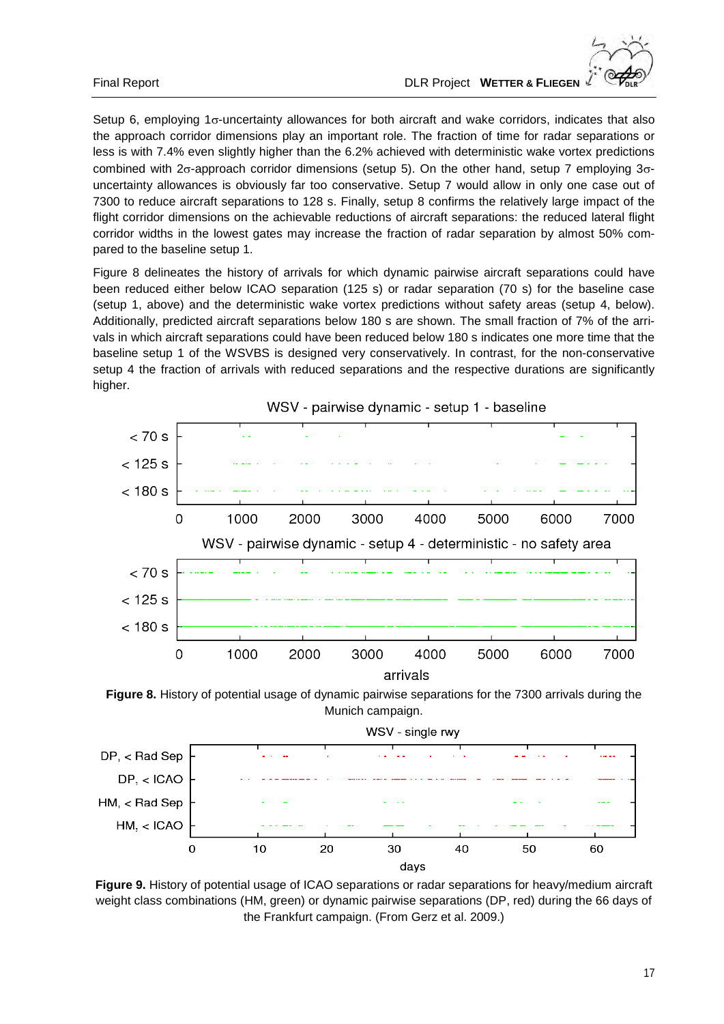Setup 6, employing 1σ-uncertainty allowances for both aircraft and wake corridors, indicates that also the approach corridor dimensions play an important role. The fraction of time for radar separations or less is with 7.4% even slightly higher than the 6.2% achieved with deterministic wake vortex predictions combined with 2σ-approach corridor dimensions (setup 5). On the other hand, setup 7 employing 3σuncertainty allowances is obviously far too conservative. Setup 7 would allow in only one case out of 7300 to reduce aircraft separations to 128 s. Finally, setup 8 confirms the relatively large impact of the flight corridor dimensions on the achievable reductions of aircraft separations: the reduced lateral flight corridor widths in the lowest gates may increase the fraction of radar separation by almost 50% compared to the baseline setup 1.

Figure 8 delineates the history of arrivals for which dynamic pairwise aircraft separations could have been reduced either below ICAO separation (125 s) or radar separation (70 s) for the baseline case (setup 1, above) and the deterministic wake vortex predictions without safety areas (setup 4, below). Additionally, predicted aircraft separations below 180 s are shown. The small fraction of 7% of the arrivals in which aircraft separations could have been reduced below 180 s indicates one more time that the baseline setup 1 of the WSVBS is designed very conservatively. In contrast, for the non-conservative setup 4 the fraction of arrivals with reduced separations and the respective durations are significantly higher.







 **Figure 9.** History of potential usage of ICAO separations or radar separations for heavy/medium aircraft weight class combinations (HM, green) or dynamic pairwise separations (DP, red) during the 66 days of weight class the Frankfurt campaign. (From Gerz et al. 2009.)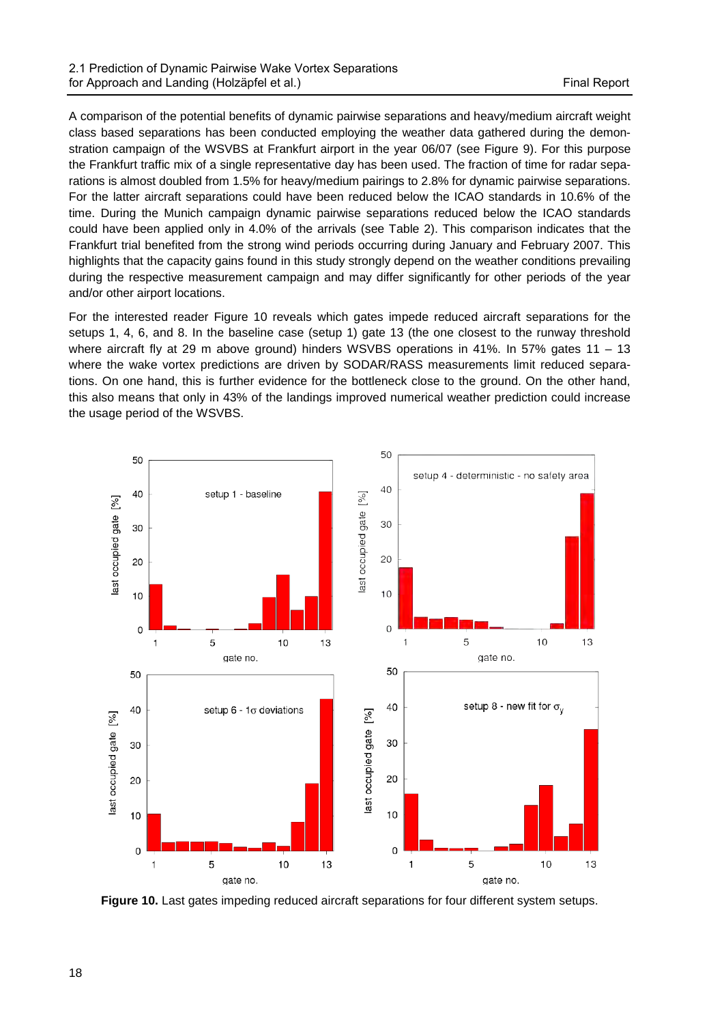A comparison of the potential benefits of dynamic pairwise separations and heavy/medium aircraft weight class based separations has been conducted employing the weather data gathered during the demonstration campaign of the WSVBS at Frankfurt airport in the year 06/07 (see Figure 9). For this purpose the Frankfurt traffic mix of a single representative day has been used. The fraction of time for radar separations is almost doubled from 1.5% for heavy/medium pairings to 2.8% for dynamic pairwise separations. For the latter aircraft separations could have been reduced below the ICAO standards in 10.6% of the time. During the Munich campaign dynamic pairwise separations reduced below the ICAO standards could have been applied only in 4.0% of the arrivals (see Table 2). This comparison indicates that the Frankfurt trial benefited from the strong wind periods occurring during January and February 2007. This highlights that the capacity gains found in this study strongly depend on the weather conditions prevailing during the respective measurement campaign and may differ significantly for other periods of the year and/or other airport locations.

For the interested reader Figure 10 reveals which gates impede reduced aircraft separations for the setups 1, 4, 6, and 8. In the baseline case (setup 1) gate 13 (the one closest to the runway threshold where aircraft fly at 29 m above ground) hinders WSVBS operations in 41%. In 57% gates 11 – 13 where the wake vortex predictions are driven by SODAR/RASS measurements limit reduced separations. On one hand, this is further evidence for the bottleneck close to the ground. On the other hand, this also means that only in 43% of the landings improved numerical weather prediction could increase the usage period of the WSVBS.



**Figure 10.** Last gates impeding reduced aircraft separations for four different system setups.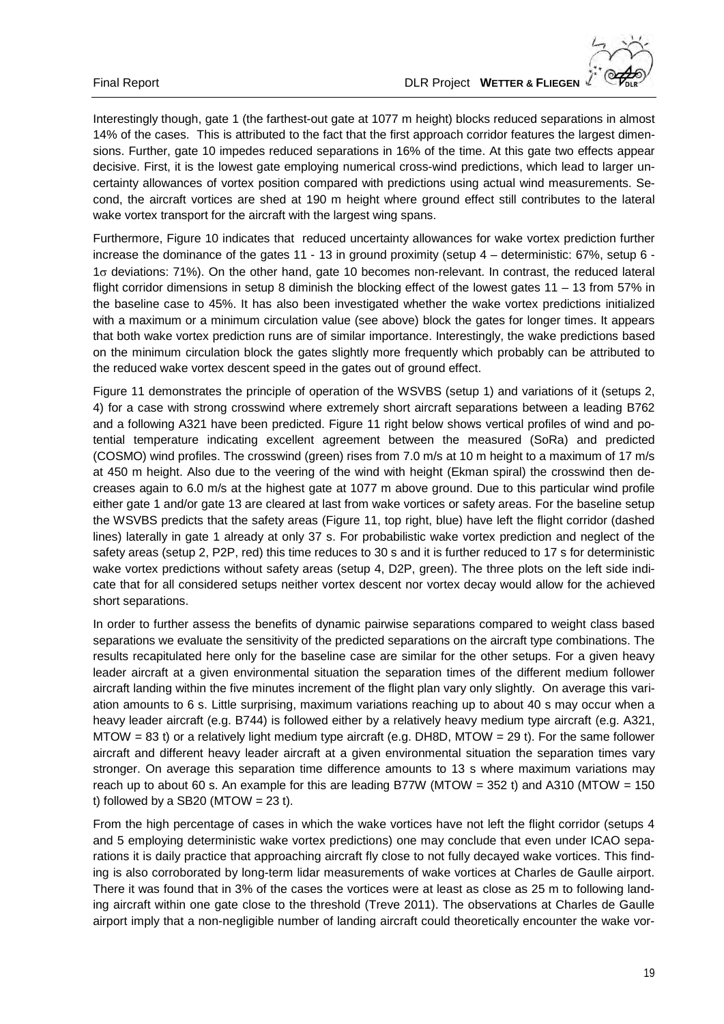Interestingly though, gate 1 (the farthest-out gate at 1077 m height) blocks reduced separations in almost 14% of the cases. This is attributed to the fact that the first approach corridor features the largest dimensions. Further, gate 10 impedes reduced separations in 16% of the time. At this gate two effects appear decisive. First, it is the lowest gate employing numerical cross-wind predictions, which lead to larger uncertainty allowances of vortex position compared with predictions using actual wind measurements. Second, the aircraft vortices are shed at 190 m height where ground effect still contributes to the lateral wake vortex transport for the aircraft with the largest wing spans.

Furthermore, Figure 10 indicates that reduced uncertainty allowances for wake vortex prediction further increase the dominance of the gates 11 - 13 in ground proximity (setup 4 – deterministic: 67%, setup 6 - 1σ deviations: 71%). On the other hand, gate 10 becomes non-relevant. In contrast, the reduced lateral flight corridor dimensions in setup 8 diminish the blocking effect of the lowest gates 11 – 13 from 57% in the baseline case to 45%. It has also been investigated whether the wake vortex predictions initialized with a maximum or a minimum circulation value (see above) block the gates for longer times. It appears that both wake vortex prediction runs are of similar importance. Interestingly, the wake predictions based on the minimum circulation block the gates slightly more frequently which probably can be attributed to the reduced wake vortex descent speed in the gates out of ground effect.

Figure 11 demonstrates the principle of operation of the WSVBS (setup 1) and variations of it (setups 2, 4) for a case with strong crosswind where extremely short aircraft separations between a leading B762 and a following A321 have been predicted. Figure 11 right below shows vertical profiles of wind and potential temperature indicating excellent agreement between the measured (SoRa) and predicted (COSMO) wind profiles. The crosswind (green) rises from 7.0 m/s at 10 m height to a maximum of 17 m/s at 450 m height. Also due to the veering of the wind with height (Ekman spiral) the crosswind then decreases again to 6.0 m/s at the highest gate at 1077 m above ground. Due to this particular wind profile either gate 1 and/or gate 13 are cleared at last from wake vortices or safety areas. For the baseline setup the WSVBS predicts that the safety areas (Figure 11, top right, blue) have left the flight corridor (dashed lines) laterally in gate 1 already at only 37 s. For probabilistic wake vortex prediction and neglect of the safety areas (setup 2, P2P, red) this time reduces to 30 s and it is further reduced to 17 s for deterministic wake vortex predictions without safety areas (setup 4, D2P, green). The three plots on the left side indicate that for all considered setups neither vortex descent nor vortex decay would allow for the achieved short separations.

In order to further assess the benefits of dynamic pairwise separations compared to weight class based separations we evaluate the sensitivity of the predicted separations on the aircraft type combinations. The results recapitulated here only for the baseline case are similar for the other setups. For a given heavy leader aircraft at a given environmental situation the separation times of the different medium follower aircraft landing within the five minutes increment of the flight plan vary only slightly. On average this variation amounts to 6 s. Little surprising, maximum variations reaching up to about 40 s may occur when a heavy leader aircraft (e.g. B744) is followed either by a relatively heavy medium type aircraft (e.g. A321, MTOW = 83 t) or a relatively light medium type aircraft (e.g. DH8D, MTOW = 29 t). For the same follower aircraft and different heavy leader aircraft at a given environmental situation the separation times vary stronger. On average this separation time difference amounts to 13 s where maximum variations may reach up to about 60 s. An example for this are leading B77W (MTOW = 352 t) and A310 (MTOW = 150 t) followed by a SB20 (MTOW =  $23$  t).

From the high percentage of cases in which the wake vortices have not left the flight corridor (setups 4 and 5 employing deterministic wake vortex predictions) one may conclude that even under ICAO separations it is daily practice that approaching aircraft fly close to not fully decayed wake vortices. This finding is also corroborated by long-term lidar measurements of wake vortices at Charles de Gaulle airport. There it was found that in 3% of the cases the vortices were at least as close as 25 m to following landing aircraft within one gate close to the threshold (Treve 2011). The observations at Charles de Gaulle airport imply that a non-negligible number of landing aircraft could theoretically encounter the wake vor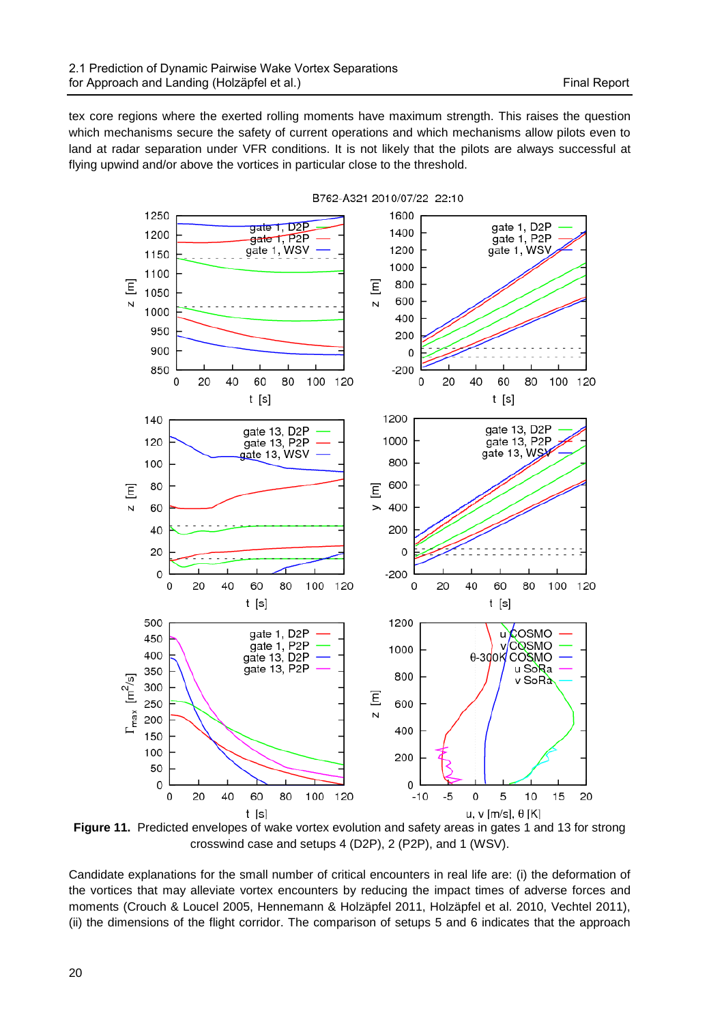tex core regions where the exerted rolling moments have maximum strength. This raises the question which mechanisms secure the safety of current operations and which mechanisms allow pilots even to land at radar separation under VFR conditions. It is not likely that the pilots are always successful at flying upwind and/or above the vortices in particular close to the threshold.



**Figure 11.** Predicted envelopes of wake vortex evolution and safety areas in gates 1 and 13 for strong crosswind case and setups 4 (D2P), 2 (P2P), and 1 (WSV).

Candidate explanations for the small number of critical encounters in real life are: (i) the deformation of the vortices that may alleviate vortex encounters by reducing the impact times of adverse forces and moments (Crouch & Loucel 2005, Hennemann & Holzäpfel 2011, Holzäpfel et al. 2010, Vechtel 2011), (ii) the dimensions of the flight corridor. The comparison of setups 5 and 6 indicates that the approach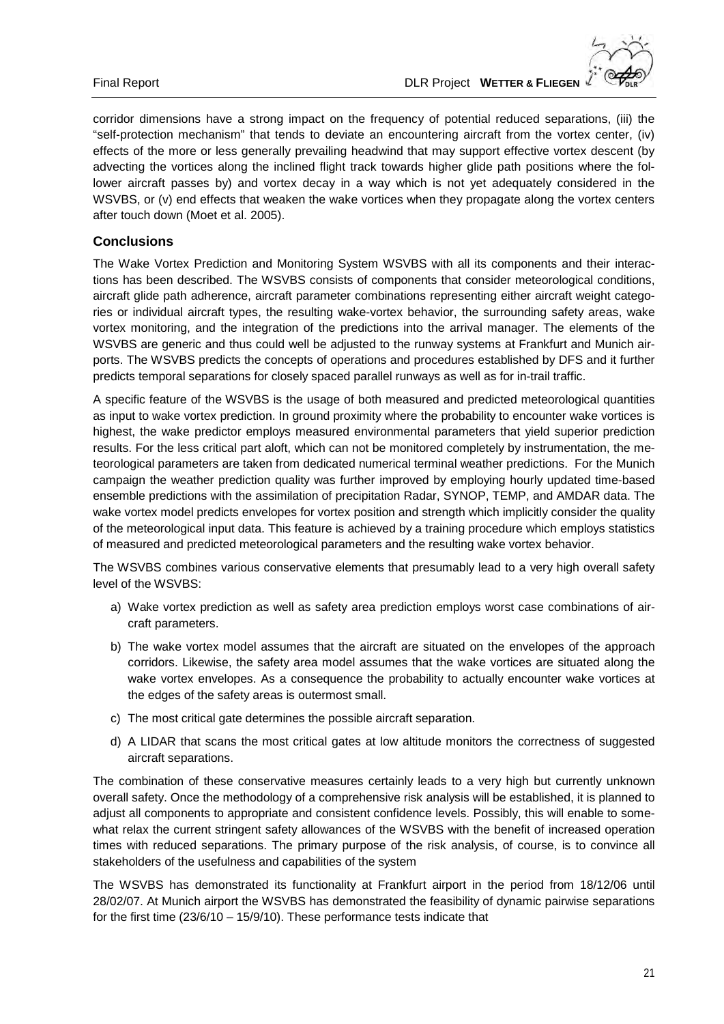

corridor dimensions have a strong impact on the frequency of potential reduced separations, (iii) the "self-protection mechanism" that tends to deviate an encountering aircraft from the vortex center, (iv) effects of the more or less generally prevailing headwind that may support effective vortex descent (by advecting the vortices along the inclined flight track towards higher glide path positions where the follower aircraft passes by) and vortex decay in a way which is not yet adequately considered in the WSVBS, or (v) end effects that weaken the wake vortices when they propagate along the vortex centers after touch down (Moet et al. 2005).

## **Conclusions**

The Wake Vortex Prediction and Monitoring System WSVBS with all its components and their interactions has been described. The WSVBS consists of components that consider meteorological conditions, aircraft glide path adherence, aircraft parameter combinations representing either aircraft weight categories or individual aircraft types, the resulting wake-vortex behavior, the surrounding safety areas, wake vortex monitoring, and the integration of the predictions into the arrival manager. The elements of the WSVBS are generic and thus could well be adjusted to the runway systems at Frankfurt and Munich airports. The WSVBS predicts the concepts of operations and procedures established by DFS and it further predicts temporal separations for closely spaced parallel runways as well as for in-trail traffic.

A specific feature of the WSVBS is the usage of both measured and predicted meteorological quantities as input to wake vortex prediction. In ground proximity where the probability to encounter wake vortices is highest, the wake predictor employs measured environmental parameters that yield superior prediction results. For the less critical part aloft, which can not be monitored completely by instrumentation, the meteorological parameters are taken from dedicated numerical terminal weather predictions. For the Munich campaign the weather prediction quality was further improved by employing hourly updated time-based ensemble predictions with the assimilation of precipitation Radar, SYNOP, TEMP, and AMDAR data. The wake vortex model predicts envelopes for vortex position and strength which implicitly consider the quality of the meteorological input data. This feature is achieved by a training procedure which employs statistics of measured and predicted meteorological parameters and the resulting wake vortex behavior.

The WSVBS combines various conservative elements that presumably lead to a very high overall safety level of the WSVBS:

- a) Wake vortex prediction as well as safety area prediction employs worst case combinations of aircraft parameters.
- b) The wake vortex model assumes that the aircraft are situated on the envelopes of the approach corridors. Likewise, the safety area model assumes that the wake vortices are situated along the wake vortex envelopes. As a consequence the probability to actually encounter wake vortices at the edges of the safety areas is outermost small.
- c) The most critical gate determines the possible aircraft separation.
- d) A LIDAR that scans the most critical gates at low altitude monitors the correctness of suggested aircraft separations.

The combination of these conservative measures certainly leads to a very high but currently unknown overall safety. Once the methodology of a comprehensive risk analysis will be established, it is planned to adjust all components to appropriate and consistent confidence levels. Possibly, this will enable to somewhat relax the current stringent safety allowances of the WSVBS with the benefit of increased operation times with reduced separations. The primary purpose of the risk analysis, of course, is to convince all stakeholders of the usefulness and capabilities of the system

The WSVBS has demonstrated its functionality at Frankfurt airport in the period from 18/12/06 until 28/02/07. At Munich airport the WSVBS has demonstrated the feasibility of dynamic pairwise separations for the first time (23/6/10 – 15/9/10). These performance tests indicate that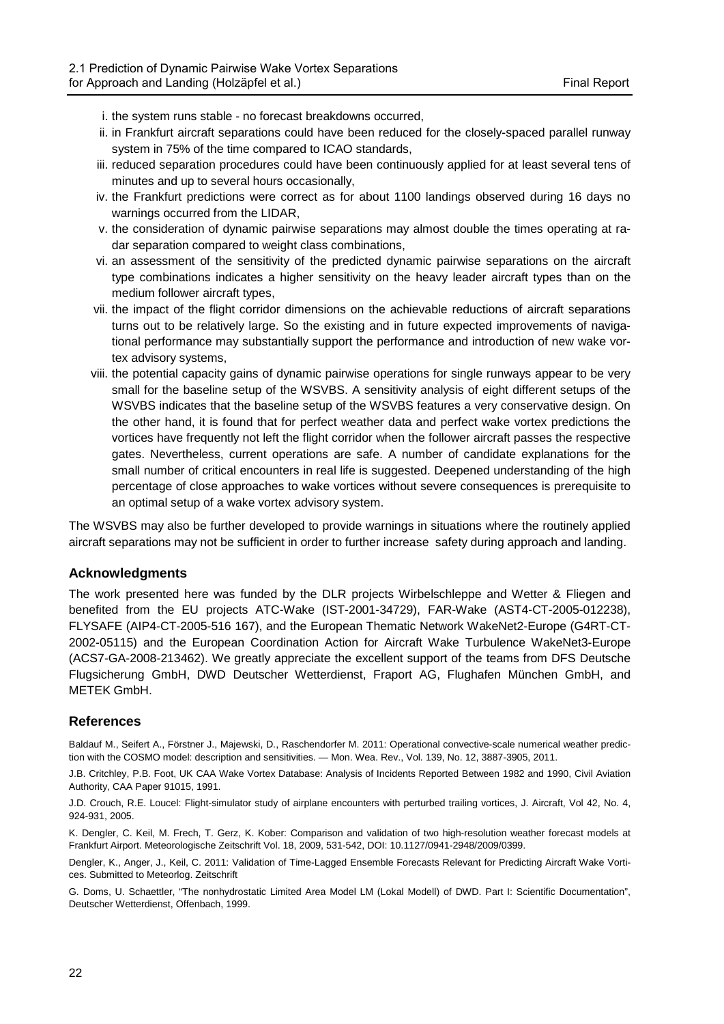i. the system runs stable - no forecast breakdowns occurred,

- ii. in Frankfurt aircraft separations could have been reduced for the closely-spaced parallel runway system in 75% of the time compared to ICAO standards,
- iii. reduced separation procedures could have been continuously applied for at least several tens of minutes and up to several hours occasionally,
- iv. the Frankfurt predictions were correct as for about 1100 landings observed during 16 days no warnings occurred from the LIDAR,
- v. the consideration of dynamic pairwise separations may almost double the times operating at radar separation compared to weight class combinations,
- vi. an assessment of the sensitivity of the predicted dynamic pairwise separations on the aircraft type combinations indicates a higher sensitivity on the heavy leader aircraft types than on the medium follower aircraft types,
- vii. the impact of the flight corridor dimensions on the achievable reductions of aircraft separations turns out to be relatively large. So the existing and in future expected improvements of navigational performance may substantially support the performance and introduction of new wake vortex advisory systems,
- viii. the potential capacity gains of dynamic pairwise operations for single runways appear to be very small for the baseline setup of the WSVBS. A sensitivity analysis of eight different setups of the WSVBS indicates that the baseline setup of the WSVBS features a very conservative design. On the other hand, it is found that for perfect weather data and perfect wake vortex predictions the vortices have frequently not left the flight corridor when the follower aircraft passes the respective gates. Nevertheless, current operations are safe. A number of candidate explanations for the small number of critical encounters in real life is suggested. Deepened understanding of the high percentage of close approaches to wake vortices without severe consequences is prerequisite to an optimal setup of a wake vortex advisory system.

The WSVBS may also be further developed to provide warnings in situations where the routinely applied aircraft separations may not be sufficient in order to further increase safety during approach and landing.

### **Acknowledgments**

The work presented here was funded by the DLR projects Wirbelschleppe and Wetter & Fliegen and benefited from the EU projects ATC-Wake (IST-2001-34729), FAR-Wake (AST4-CT-2005-012238), FLYSAFE (AIP4-CT-2005-516 167), and the European Thematic Network WakeNet2-Europe (G4RT-CT-2002-05115) and the European Coordination Action for Aircraft Wake Turbulence WakeNet3-Europe (ACS7-GA-2008-213462). We greatly appreciate the excellent support of the teams from DFS Deutsche Flugsicherung GmbH, DWD Deutscher Wetterdienst, Fraport AG, Flughafen München GmbH, and METEK GmbH.

### **References**

Baldauf M., Seifert A., Förstner J., Majewski, D., Raschendorfer M. 2011: Operational convective-scale numerical weather prediction with the COSMO model: description and sensitivities. — Mon. Wea. Rev., Vol. 139, No. 12, 3887-3905, 2011.

J.B. Critchley, P.B. Foot, UK CAA Wake Vortex Database: Analysis of Incidents Reported Between 1982 and 1990, Civil Aviation Authority, CAA Paper 91015, 1991.

J.D. Crouch, R.E. Loucel: Flight-simulator study of airplane encounters with perturbed trailing vortices, J. Aircraft, Vol 42, No. 4, 924-931, 2005.

K. Dengler, C. Keil, M. Frech, T. Gerz, K. Kober: [Comparison and validation of two high-resolution weather forecast models at](http://elib.dlr.de/61965/)  [Frankfurt Airport.](http://elib.dlr.de/61965/) Meteorologische Zeitschrift Vol. 18, 2009, 531-542, DOI: 10.1127/0941-2948/2009/0399.

Dengler, K., Anger, J., Keil, C. 2011: Validation of Time-Lagged Ensemble Forecasts Relevant for Predicting Aircraft Wake Vortices. Submitted to Meteorlog. Zeitschrift

G. Doms, U. Schaettler, "The nonhydrostatic Limited Area Model LM (Lokal Modell) of DWD. Part I: Scientific Documentation", Deutscher Wetterdienst, Offenbach, 1999.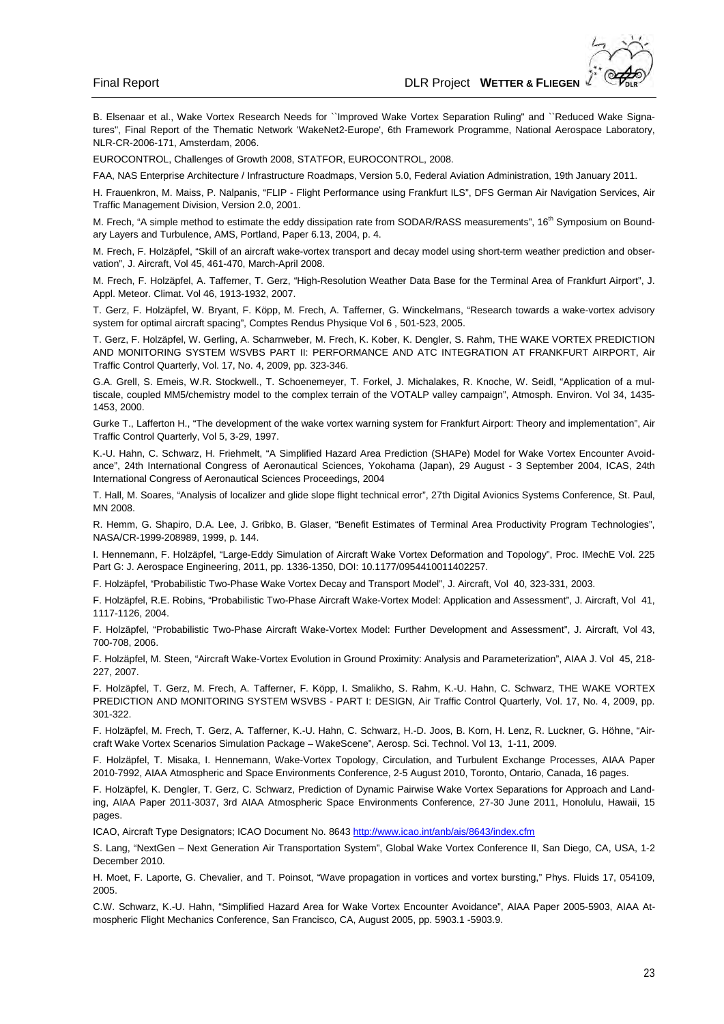

EUROCONTROL, Challenges of Growth 2008, STATFOR, EUROCONTROL, 2008.

FAA, NAS Enterprise Architecture / Infrastructure Roadmaps, Version 5.0, Federal Aviation Administration, 19th January 2011.

H. Frauenkron, M. Maiss, P. Nalpanis, "FLIP - Flight Performance using Frankfurt ILS", DFS German Air Navigation Services, Air Traffic Management Division, Version 2.0, 2001.

M. Frech, "A simple method to estimate the eddy dissipation rate from SODAR/RASS measurements", 16<sup>th</sup> Symposium on Boundary Layers and Turbulence, AMS, Portland, Paper 6.13, 2004, p. 4.

M. Frech, F. Holzäpfel, "Skill of an aircraft wake-vortex transport and decay model using short-term weather prediction and observation", J. Aircraft, Vol 45, 461-470, March-April 2008.

M. Frech, F. Holzäpfel, A. Tafferner, T. Gerz, "High-Resolution Weather Data Base for the Terminal Area of Frankfurt Airport", J. Appl. Meteor. Climat. Vol 46, 1913-1932, 2007.

T. Gerz, F. Holzäpfel, W. Bryant, F. Köpp, M. Frech, A. Tafferner, G. Winckelmans, "Research towards a wake-vortex advisory system for optimal aircraft spacing", Comptes Rendus Physique Vol 6 , 501-523, 2005.

T. Gerz, F. Holzäpfel, W. Gerling, A. Scharnweber, M. Frech, K. Kober, K. Dengler, S. Rahm, THE WAKE VORTEX PREDICTION AND MONITORING SYSTEM WSVBS PART II: PERFORMANCE AND ATC INTEGRATION AT FRANKFURT AIRPORT, Air Traffic Control Quarterly, Vol. 17, No. 4, 2009, pp. 323-346.

G.A. Grell, S. Emeis, W.R. Stockwell., T. Schoenemeyer, T. Forkel, J. Michalakes, R. Knoche, W. Seidl, "Application of a multiscale, coupled MM5/chemistry model to the complex terrain of the VOTALP valley campaign", Atmosph. Environ. Vol 34, 1435- 1453, 2000.

Gurke T., Lafferton H., "The development of the wake vortex warning system for Frankfurt Airport: Theory and implementation", Air Traffic Control Quarterly, Vol 5, 3-29, 1997.

K.-U. Hahn, C. Schwarz, H. Friehmelt, "A Simplified Hazard Area Prediction (SHAPe) Model for Wake Vortex Encounter Avoidance", 24th International Congress of Aeronautical Sciences, Yokohama (Japan), 29 August - 3 September 2004, ICAS, 24th International Congress of Aeronautical Sciences Proceedings, 2004

T. Hall, M. Soares, "Analysis of localizer and glide slope flight technical error", 27th Digital Avionics Systems Conference, St. Paul, MN 2008.

R. Hemm, G. Shapiro, D.A. Lee, J. Gribko, B. Glaser, "Benefit Estimates of Terminal Area Productivity Program Technologies", NASA/CR-1999-208989, 1999, p. 144.

I. Hennemann, F. Holzäpfel, "Large-Eddy Simulation of Aircraft Wake Vortex Deformation and Topology", Proc. IMechE Vol. 225 Part G: J. Aerospace Engineering, 2011, pp. 1336-1350, DOI: 10.1177/0954410011402257.

F. Holzäpfel, "Probabilistic Two-Phase Wake Vortex Decay and Transport Model", J. Aircraft, Vol 40, 323-331, 2003.

F. Holzäpfel, R.E. Robins, "Probabilistic Two-Phase Aircraft Wake-Vortex Model: Application and Assessment", J. Aircraft, Vol 41, 1117-1126, 2004.

F. Holzäpfel, "Probabilistic Two-Phase Aircraft Wake-Vortex Model: Further Development and Assessment", J. Aircraft, Vol 43, 700-708, 2006.

F. Holzäpfel, M. Steen, "Aircraft Wake-Vortex Evolution in Ground Proximity: Analysis and Parameterization", AIAA J. Vol 45, 218- 227, 2007.

F. Holzäpfel, T. Gerz, M. Frech, A. Tafferner, F. Köpp, I. Smalikho, S. Rahm, K.-U. Hahn, C. Schwarz, THE WAKE VORTEX PREDICTION AND MONITORING SYSTEM WSVBS - PART I: DESIGN, Air Traffic Control Quarterly, Vol. 17, No. 4, 2009, pp. 301-322.

F. Holzäpfel, M. Frech, T. Gerz, A. Tafferner, K.-U. Hahn, C. Schwarz, H.-D. Joos, B. Korn, H. Lenz, R. Luckner, G. Höhne, "Aircraft Wake Vortex Scenarios Simulation Package – WakeScene", Aerosp. Sci. Technol. Vol 13, 1-11, 2009.

F. Holzäpfel, T. Misaka, I. Hennemann, Wake-Vortex Topology, Circulation, and Turbulent Exchange Processes, AIAA Paper 2010-7992, AIAA Atmospheric and Space Environments Conference, 2-5 August 2010, Toronto, Ontario, Canada, 16 pages.

F. Holzäpfel, K. Dengler, T. Gerz, C. Schwarz, Prediction of Dynamic Pairwise Wake Vortex Separations for Approach and Landing, AIAA Paper 2011-3037, 3rd AIAA Atmospheric Space Environments Conference, 27-30 June 2011, Honolulu, Hawaii, 15 pages.

ICAO, Aircraft Type Designators; ICAO Document No. 864[3 http://www.icao.int/anb/ais/8643/index.cfm](http://www.icao.int/anb/ais/8643/index.cfm)

S. Lang, "NextGen – Next Generation Air Transportation System", Global Wake Vortex Conference II, San Diego, CA, USA, 1-2 December 2010.

H. Moet, F. Laporte, G. Chevalier, and T. Poinsot, "Wave propagation in vortices and vortex bursting," Phys. Fluids 17, 054109, 2005.

C.W. Schwarz, K.-U. Hahn, "Simplified Hazard Area for Wake Vortex Encounter Avoidance", AIAA Paper 2005-5903, AIAA Atmospheric Flight Mechanics Conference, San Francisco, CA, August 2005, pp. 5903.1 -5903.9.